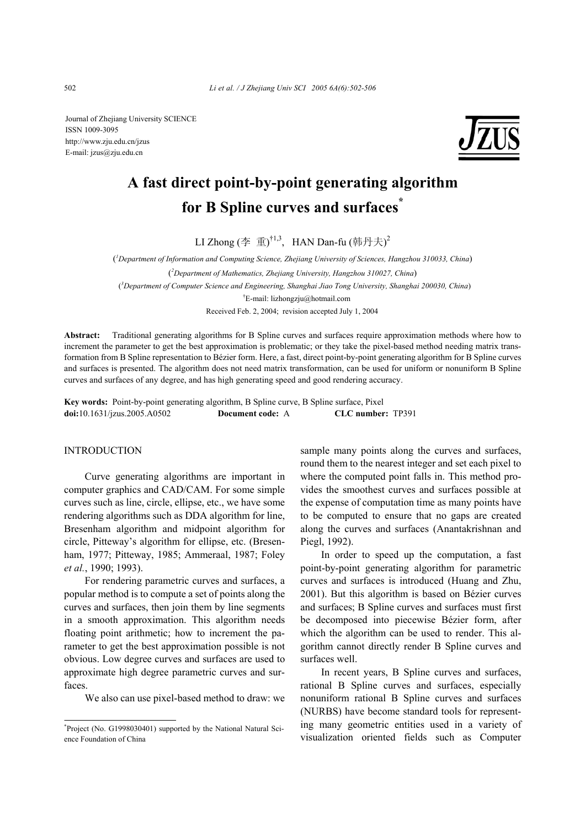Journal of Zhejiang University SCIENCE ISSN 1009-3095 http://www.zju.edu.cn/jzus E-mail: jzus@zju.edu.cn



# **A fast direct point-by-point generating algorithm for B Spline curves and surfaces\***

LI Zhong (李 重) $^{\dagger1,3}$ ,HAN Dan-fu (韩丹夫) $^2$ 

( *1 Department of Information and Computing Science, Zhejiang University of Sciences, Hangzhou 310033, China*) ( *2 Department of Mathematics, Zhejiang University, Hangzhou 310027, China*) ( *3 Department of Computer Science and Engineering, Shanghai Jiao Tong University, Shanghai 200030, China*) † E-mail: lizhongzju@hotmail.com

Received Feb. 2, 2004; revision accepted July 1, 2004

**Abstract:** Traditional generating algorithms for B Spline curves and surfaces require approximation methods where how to increment the parameter to get the best approximation is problematic; or they take the pixel-based method needing matrix transformation from B Spline representation to Bézier form. Here, a fast, direct point-by-point generating algorithm for B Spline curves and surfaces is presented. The algorithm does not need matrix transformation, can be used for uniform or nonuniform B Spline curves and surfaces of any degree, and has high generating speed and good rendering accuracy.

**Key words:** Point-by-point generating algorithm, B Spline curve, B Spline surface, Pixel **doi:**10.1631/jzus.2005.A0502 **Document code:** A **CLC number:** TP391

### INTRODUCTION

Curve generating algorithms are important in computer graphics and CAD/CAM. For some simple curves such as line, circle, ellipse, etc., we have some rendering algorithms such as DDA algorithm for line, Bresenham algorithm and midpoint algorithm for circle, Pitteway's algorithm for ellipse, etc. (Bresenham, 1977; Pitteway, 1985; Ammeraal, 1987; Foley *et al.*, 1990; 1993).

For rendering parametric curves and surfaces, a popular method is to compute a set of points along the curves and surfaces, then join them by line segments in a smooth approximation. This algorithm needs floating point arithmetic; how to increment the parameter to get the best approximation possible is not obvious. Low degree curves and surfaces are used to approximate high degree parametric curves and surfaces.

We also can use pixel-based method to draw: we

sample many points along the curves and surfaces, round them to the nearest integer and set each pixel to where the computed point falls in. This method provides the smoothest curves and surfaces possible at the expense of computation time as many points have to be computed to ensure that no gaps are created along the curves and surfaces (Anantakrishnan and Piegl, 1992).

In order to speed up the computation, a fast point-by-point generating algorithm for parametric curves and surfaces is introduced (Huang and Zhu, 2001). But this algorithm is based on Bézier curves and surfaces; B Spline curves and surfaces must first be decomposed into piecewise Bézier form, after which the algorithm can be used to render. This algorithm cannot directly render B Spline curves and surfaces well.

In recent years, B Spline curves and surfaces, rational B Spline curves and surfaces, especially nonuniform rational B Spline curves and surfaces (NURBS) have become standard tools for representing many geometric entities used in a variety of visualization oriented fields such as Computer

<sup>\*</sup> Project (No. G1998030401) supported by the National Natural Science Foundation of China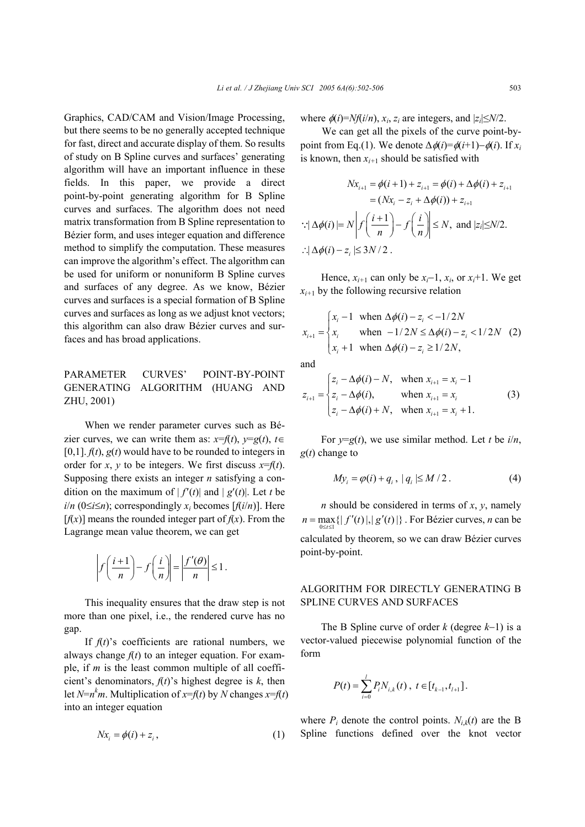Graphics, CAD/CAM and Vision/Image Processing, but there seems to be no generally accepted technique for fast, direct and accurate display of them. So results of study on B Spline curves and surfaces' generating algorithm will have an important influence in these fields. In this paper, we provide a direct point-by-point generating algorithm for B Spline curves and surfaces. The algorithm does not need matrix transformation from B Spline representation to Bézier form, and uses integer equation and difference method to simplify the computation. These measures can improve the algorithm's effect. The algorithm can be used for uniform or nonuniform B Spline curves and surfaces of any degree. As we know, Bézier curves and surfaces is a special formation of B Spline curves and surfaces as long as we adjust knot vectors; this algorithm can also draw Bézier curves and surfaces and has broad applications.

## PARAMETER CURVES' POINT-BY-POINT GENERATING ALGORITHM (HUANG AND ZHU, 2001)

When we render parameter curves such as Bézier curves, we can write them as:  $x=f(t)$ ,  $y=g(t)$ ,  $t\in$  $[0,1]$ .  $f(t)$ ,  $g(t)$  would have to be rounded to integers in order for *x*, *y* to be integers. We first discuss  $x=f(t)$ . Supposing there exists an integer *n* satisfying a condition on the maximum of  $|f'(t)|$  and  $|g'(t)|$ . Let *t* be *i*/ $n$  (0≤*i*≤ $n$ ); correspondingly  $x_i$  becomes [ $f(i/n)$ ]. Here  $[f(x)]$  means the rounded integer part of  $f(x)$ . From the Lagrange mean value theorem, we can get

$$
\left| f\left(\frac{i+1}{n}\right) - f\left(\frac{i}{n}\right) \right| = \left| \frac{f'(\theta)}{n} \right| \le 1.
$$

This inequality ensures that the draw step is not more than one pixel, i.e., the rendered curve has no gap.

If  $f(t)$ 's coefficients are rational numbers, we always change  $f(t)$  to an integer equation. For example, if *m* is the least common multiple of all coefficient's denominators,  $f(t)$ 's highest degree is  $k$ , then let *N*= $n^k$ *m*. Multiplication of *x*=*f*(*t*) by *N* changes *x*=*f*(*t*) into an integer equation

$$
Nx_i = \phi(i) + z_i, \qquad (1)
$$

where  $\phi(i)=Nf(i/n)$ ,  $x_i$ ,  $z_i$  are integers, and  $|z_i|\leq N/2$ .

We can get all the pixels of the curve point-bypoint from Eq.(1). We denote  $\Delta \phi(i) = \phi(i+1) - \phi(i)$ . If  $x_i$ is known, then  $x_{i+1}$  should be satisfied with

$$
Nx_{i+1} = \phi(i+1) + z_{i+1} = \phi(i) + \Delta\phi(i) + z_{i+1}
$$
  
=  $(Nx_i - z_i + \Delta\phi(i)) + z_{i+1}$   

$$
\therefore |\Delta\phi(i)| = N \left| f\left(\frac{i+1}{n}\right) - f\left(\frac{i}{n}\right) \right| \le N, \text{ and } |z_i| \le N/2.
$$
  

$$
\therefore |\Delta\phi(i) - z_i| \le 3N/2.
$$

Hence,  $x_{i+1}$  can only be  $x_i-1$ ,  $x_i$ , or  $x_i+1$ . We get  $x_{i+1}$  by the following recursive relation

$$
x_{i+1} = \begin{cases} x_i - 1 & \text{when } \Delta\phi(i) - z_i < -1/2N \\ x_i & \text{when } -1/2N \le \Delta\phi(i) - z_i < 1/2N \\ x_i + 1 & \text{when } \Delta\phi(i) - z_i \ge 1/2N, \end{cases}
$$
 (2)

and

$$
z_{i+1} = \begin{cases} z_i - \Delta \phi(i) - N, & \text{when } x_{i+1} = x_i - 1 \\ z_i - \Delta \phi(i), & \text{when } x_{i+1} = x_i \\ z_i - \Delta \phi(i) + N, & \text{when } x_{i+1} = x_i + 1. \end{cases}
$$
 (3)

For  $y=g(t)$ , we use similar method. Let *t* be  $i/n$ , *g*(*t*) change to

$$
My_i = \varphi(i) + q_i, \mid q_i \mid \leq M/2. \tag{4}
$$

*n* should be considered in terms of *x*, *y*, namely  $n = \max_{0 \le t \le 1} \{ |f'(t)|, |g'(t)| \}$ . For Bézier curves, *n* can be calculated by theorem, so we can draw Bézier curves point-by-point.

## ALGORITHM FOR DIRECTLY GENERATING B SPLINE CURVES AND SURFACES

The B Spline curve of order *k* (degree *k*−1) is a vector-valued piecewise polynomial function of the form

$$
P(t) = \sum_{i=0}^{l} P_i N_{i,k}(t) , t \in [t_{k-1}, t_{l+1}].
$$

where  $P_i$  denote the control points.  $N_{i,k}(t)$  are the B Spline functions defined over the knot vector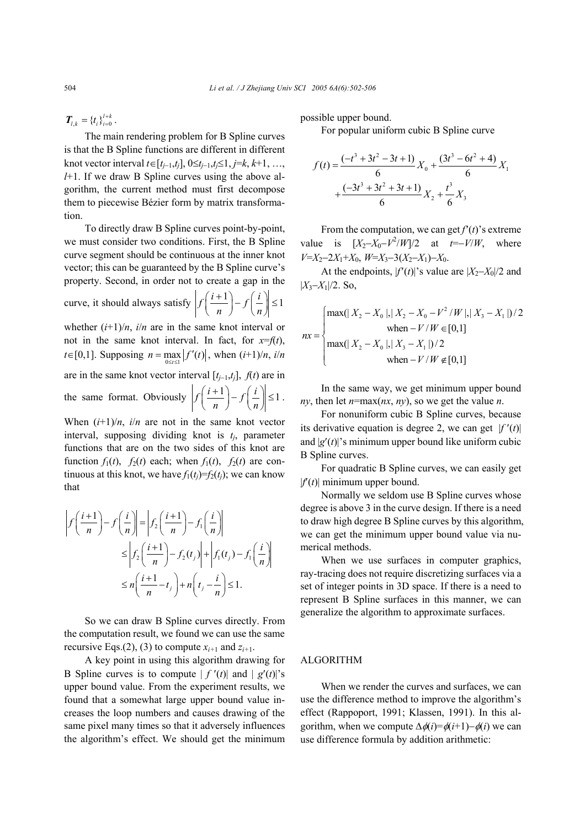$T_{l,k} = \{t_i\}_{i=0}^{l+k}$ .

The main rendering problem for B Spline curves is that the B Spline functions are different in different knot vector interval *t*∈[ $t_{i-1}$ , $t_i$ ], 0≤ $t_{i-1}$ , $t_i$ ≤1,  $j=k$ ,  $k+1$ , …, *l*+1. If we draw B Spline curves using the above algorithm, the current method must first decompose them to piecewise Bézier form by matrix transformation.

To directly draw B Spline curves point-by-point, we must consider two conditions. First, the B Spline curve segment should be continuous at the inner knot vector; this can be guaranteed by the B Spline curve's property. Second, in order not to create a gap in the

curve, it should always satisfy  $\left| f \left( \frac{i+1}{n} \right) - f \left( \frac{i}{n} \right) \right| \leq 1$ *n*  $\int$   $\frac{f}{n}$  $\left(\frac{i+1}{n}\right) - f\left(\frac{i}{n}\right) \le$ 

$$
f\left(\frac{i+1}{n}\right) - f\left(\frac{i}{n}\right) \le
$$

whether  $(i+1)/n$ , *i/n* are in the same knot interval or not in the same knot interval. In fact, for  $x=f(t)$ ,  $t \in [0,1]$ . Supposing  $n = \max_{0 \le t \le 1} |f'(t)|$ , when  $(i+1)/n$ ,  $i/n$ are in the same knot vector interval  $[t_{i-1}, t_i]$ ,  $f(t)$  are in the same format. Obviously  $\left| f \left( \frac{i+1}{i} \right) - f \left( \frac{i}{i} \right) \right| \leq 1$  $\left(\frac{i+1}{n}\right) - f\left(\frac{i}{n}\right) \leq 1$ .

When  $(i+1)/n$ , *i/n* are not in the same knot vector interval, supposing dividing knot is  $t_i$ , parameter functions that are on the two sides of this knot are function  $f_1(t)$ ,  $f_2(t)$  each; when  $f_1(t)$ ,  $f_2(t)$  are continuous at this knot, we have  $f_1(t) = f_2(t)$ ; we can know that

$$
\left| f\left(\frac{i+1}{n}\right) - f\left(\frac{i}{n}\right) \right| = \left| f_2\left(\frac{i+1}{n}\right) - f_1\left(\frac{i}{n}\right) \right|
$$
  
\n
$$
\leq \left| f_2\left(\frac{i+1}{n}\right) - f_2(t_j) \right| + \left| f_1(t_j) - f_1\left(\frac{i}{n}\right) \right|
$$
  
\n
$$
\leq n\left(\frac{i+1}{n} - t_j\right) + n\left(t_j - \frac{i}{n}\right) \leq 1.
$$

 So we can draw B Spline curves directly. From the computation result, we found we can use the same recursive Eqs.(2), (3) to compute  $x_{i+1}$  and  $z_{i+1}$ .

A key point in using this algorithm drawing for B Spline curves is to compute  $| f'(t)|$  and  $| g'(t)|$ 's upper bound value. From the experiment results, we found that a somewhat large upper bound value increases the loop numbers and causes drawing of the same pixel many times so that it adversely influences the algorithm's effect. We should get the minimum possible upper bound.

For popular uniform cubic B Spline curve

$$
f(t) = \frac{(-t^3 + 3t^2 - 3t + 1)}{6} X_0 + \frac{(3t^3 - 6t^2 + 4)}{6} X_1 + \frac{(-3t^3 + 3t^2 + 3t + 1)}{6} X_2 + \frac{t^3}{6} X_3
$$

From the computation, we can get  $f'(t)$ 's extreme value is  $[X_2-X_0-V^2/W]/2$  at *t*=−*V/W*, where *V*=*X*2−2*X*1+*X*0, *W*=*X*3−3(*X*2−*X*1)−*X*0.

At the endpoints,  $|f'(t)|$ 's value are  $|X_2-X_0|/2$  and |*X*3−*X*1|/2. So,

$$
nx = \begin{cases} \max(|X_2 - X_0|, |X_2 - X_0 - V^2 / W|, |X_3 - X_1|)/2 \\ \text{when} - V / W \in [0,1] \\ \max(|X_2 - X_0|, |X_3 - X_1|)/2 \\ \text{when} - V / W \notin [0,1] \end{cases}
$$

In the same way, we get minimum upper bound *ny*, then let *n*=max(*nx*, *ny*), so we get the value *n*.

For nonuniform cubic B Spline curves, because its derivative equation is degree 2, we can get  $|f'(t)|$ and  $|g'(t)|$ 's minimum upper bound like uniform cubic B Spline curves.

For quadratic B Spline curves, we can easily get  $|f'(t)|$  minimum upper bound.

Normally we seldom use B Spline curves whose degree is above 3 in the curve design. If there is a need to draw high degree B Spline curves by this algorithm, we can get the minimum upper bound value via numerical methods.

When we use surfaces in computer graphics, ray-tracing does not require discretizing surfaces via a set of integer points in 3D space. If there is a need to represent B Spline surfaces in this manner, we can generalize the algorithm to approximate surfaces.

## ALGORITHM

When we render the curves and surfaces, we can use the difference method to improve the algorithm's effect (Rappoport, 1991; Klassen, 1991). In this algorithm, when we compute  $\Delta \phi(i) = \phi(i+1) - \phi(i)$  we can use difference formula by addition arithmetic: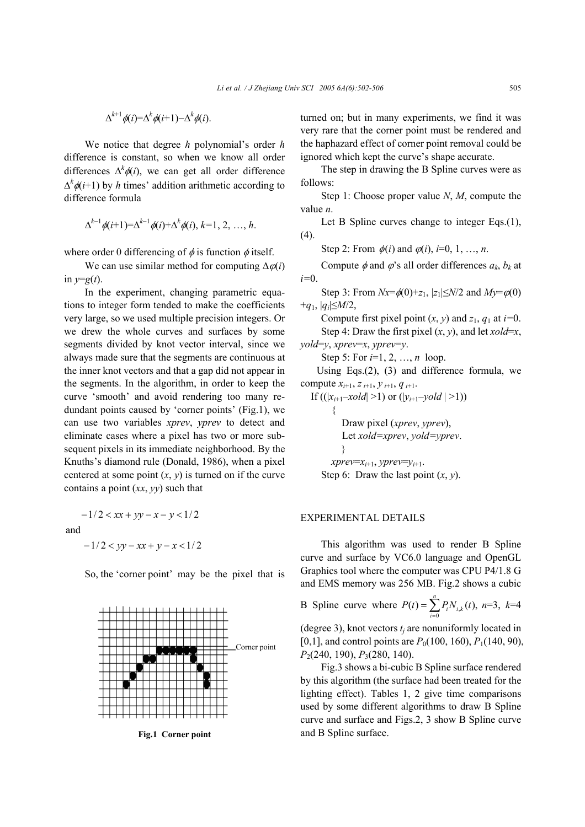$$
\Delta^{k+1}\phi(i)=\Delta^k\phi(i+1)-\Delta^k\phi(i).
$$

We notice that degree *h* polynomial's order *h* difference is constant, so when we know all order differences  $\Delta^k \phi(i)$ , we can get all order difference  $\Delta^k \phi(i+1)$  by *h* times' addition arithmetic according to difference formula

$$
\Delta^{k-1}\phi(i+1)=\Delta^{k-1}\phi(i)+\Delta^k\phi(i), k=1, 2, ..., h.
$$

where order 0 differencing of  $\phi$  is function  $\phi$  itself.

We can use similar method for computing ∆ϕ(*i*) in  $y=g(t)$ .

In the experiment, changing parametric equations to integer form tended to make the coefficients very large, so we used multiple precision integers. Or we drew the whole curves and surfaces by some segments divided by knot vector interval, since we always made sure that the segments are continuous at the inner knot vectors and that a gap did not appear in the segments. In the algorithm, in order to keep the curve 'smooth' and avoid rendering too many redundant points caused by 'corner points' (Fig.1), we can use two variables *xprev*, *yprev* to detect and eliminate cases where a pixel has two or more subsequent pixels in its immediate neighborhood. By the Knuths's diamond rule (Donald, 1986), when a pixel centered at some point  $(x, y)$  is turned on if the curve contains a point (*xx*, *yy*) such that

and

 $-1/2 < yy - xx + y - x < 1/2$ 

 $-1/2 < xx + yy - x - y < 1/2$ 

So, the 'corner point' may be the pixel that is



turned on; but in many experiments, we find it was very rare that the corner point must be rendered and the haphazard effect of corner point removal could be ignored which kept the curve's shape accurate.

The step in drawing the B Spline curves were as follows:

Step 1: Choose proper value *N*, *M*, compute the value *n*.

Let B Spline curves change to integer Eqs.(1), (4).

Step 2: From  $\phi(i)$  and  $\phi(i)$ , *i*=0, 1, …, *n*.

Compute  $\phi$  and  $\phi$ 's all order differences  $a_k$ ,  $b_k$  at *i=*0.

Step 3: From  $Nx = \phi(0) + z_1$ ,  $|z_1| \le N/2$  and  $My = \phi(0)$ +*q*1, |*qi*|≤*M*/2,

Compute first pixel point  $(x, y)$  and  $z_1, q_1$  at  $i=0$ . Step 4: Draw the first pixel  $(x, y)$ , and let *xold*=*x*,

*yold*=*y*, *xprev*=*x*, *yprev*=*y*. Step 5: For *i*=1, 2, …, *n* loop.

Using Eqs.(2), (3) and difference formula, we compute *xi*+1, *z i*+1, *y i*+1, *q i*+1.

If  $((|x_{i+1}-xold|>1)$  or  $(|y_{i+1}-yold|>1))$ {

Draw pixel (*xprev*, *yprev*),

Let *xold=xprev*, *yold=yprev*.

 }  $xprev=x_{i+1}$ ,  $yprev=y_{i+1}$ .

Step 6: Draw the last point (*x*, *y*).

#### EXPERIMENTAL DETAILS

This algorithm was used to render B Spline curve and surface by VC6.0 language and OpenGL Graphics tool where the computer was CPU P4/1.8 G and EMS memory was 256 MB. Fig.2 shows a cubic

B Spline curve where  $P(t) = \sum_{i=0} P_i N_{i}$ ,  $(t) = \sum_{i=1}^{n} P_{i} N_{i,k}(t),$  $\sum_{i=0} I_i^{i} V_{i,k}$  $P(t) = \sum P_i N_{i,k} (t)$  $=\sum_{i=0} P_i N_{i,k}(t)$ , n=3, k=4

(degree 3), knot vectors  $t_i$  are nonuniformly located in [0,1], and control points are  $P_0(100, 160)$ ,  $P_1(140, 90)$ , *P*2(240, 190), *P*3(280, 140).

Fig.3 shows a bi-cubic B Spline surface rendered by this algorithm (the surface had been treated for the lighting effect). Tables 1, 2 give time comparisons used by some different algorithms to draw B Spline curve and surface and Figs.2, 3 show B Spline curve